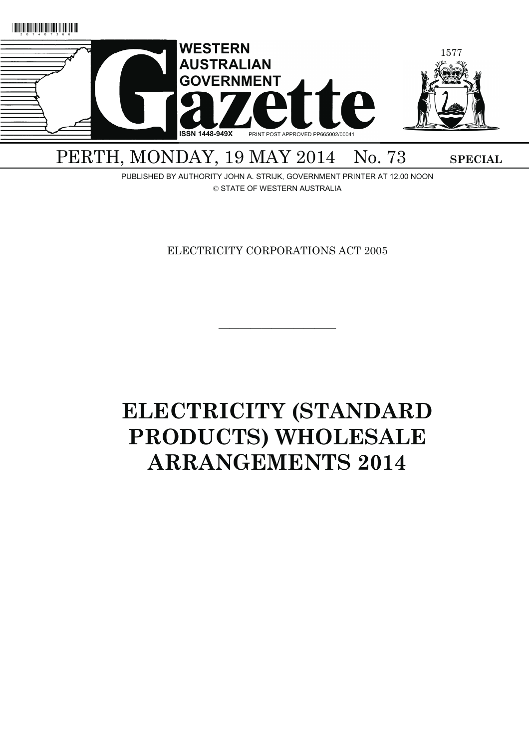

PUBLISHED BY AUTHORITY JOHN A. STRIJK, GOVERNMENT PRINTER AT 12.00 NOON © STATE OF WESTERN AUSTRALIA

ELECTRICITY CORPORATIONS ACT 2005

———————————

# **ELECTRICITY (STANDARD PRODUCTS) WHOLESALE ARRANGEMENTS 2014**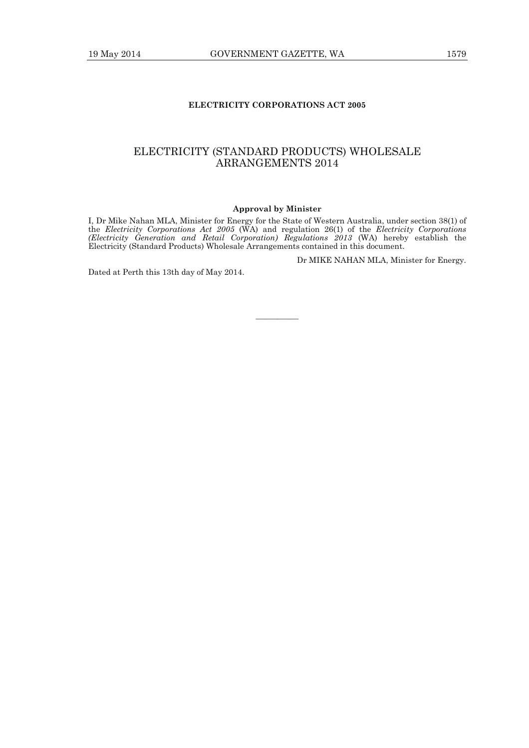# **ELECTRICITY CORPORATIONS ACT 2005**

# ELECTRICITY (STANDARD PRODUCTS) WHOLESALE ARRANGEMENTS 2014

#### **Approval by Minister**

I, Dr Mike Nahan MLA, Minister for Energy for the State of Western Australia, under section 38(1) of the *Electricity Corporations Act 2005* (WA) and regulation 26(1) of the *Electricity Corporations (Electricity Generation and Retail Corporation) Regulations 2013* (WA) hereby establish the Electricity (Standard Products) Wholesale Arrangements contained in this document.

Dr MIKE NAHAN MLA, Minister for Energy.

Dated at Perth this 13th day of May 2014.

————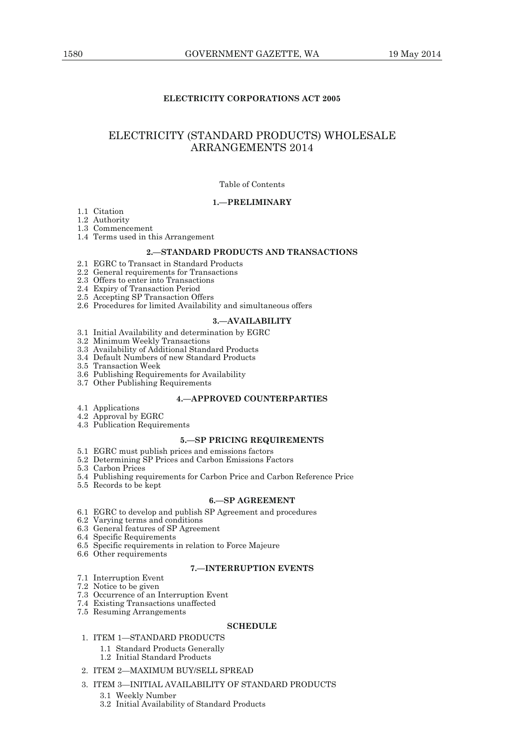# **ELECTRICITY CORPORATIONS ACT 2005**

# ELECTRICITY (STANDARD PRODUCTS) WHOLESALE ARRANGEMENTS 2014

#### Table of Contents

# **1.—PRELIMINARY**

1.1 Citation

1.2 Authority

1.3 Commencement

1.4 Terms used in this Arrangement

# **2.—STANDARD PRODUCTS AND TRANSACTIONS**

- 2.1 EGRC to Transact in Standard Products
- 2.2 General requirements for Transactions
- 2.3 Offers to enter into Transactions

2.4 Expiry of Transaction Period

- 2.5 Accepting SP Transaction Offers
- 2.6 Procedures for limited Availability and simultaneous offers

#### **3.—AVAILABILITY**

- 3.1 Initial Availability and determination by EGRC
- 3.2 Minimum Weekly Transactions
- 3.3 Availability of Additional Standard Products
- 3.4 Default Numbers of new Standard Products
	- 3.5 Transaction Week
- 3.6 Publishing Requirements for Availability
- 3.7 Other Publishing Requirements

## **4.—APPROVED COUNTERPARTIES**

- 4.1 Applications
- 4.2 Approval by EGRC
- 4.3 Publication Requirements

#### **5.—SP PRICING REQUIREMENTS**

- 5.1 EGRC must publish prices and emissions factors
- 5.2 Determining SP Prices and Carbon Emissions Factors
- 5.3 Carbon Prices
- 5.4 Publishing requirements for Carbon Price and Carbon Reference Price
- 5.5 Records to be kept

#### **6.—SP AGREEMENT**

- 6.1 EGRC to develop and publish SP Agreement and procedures
- 6.2 Varying terms and conditions
- 6.3 General features of SP Agreement
- 6.4 Specific Requirements
- 6.5 Specific requirements in relation to Force Majeure
- 6.6 Other requirements

# **7.—INTERRUPTION EVENTS**

- 7.1 Interruption Event
- 7.2 Notice to be given
- 7.3 Occurrence of an Interruption Event
- 7.4 Existing Transactions unaffected
- 7.5 Resuming Arrangements

# **SCHEDULE**

- 1. ITEM 1—STANDARD PRODUCTS
	- 1.1 Standard Products Generally
	- 1.2 Initial Standard Products
- 2. ITEM 2—MAXIMUM BUY/SELL SPREAD
- 3. ITEM 3—INITIAL AVAILABILITY OF STANDARD PRODUCTS
	- 3.1 Weekly Number
	- 3.2 Initial Availability of Standard Products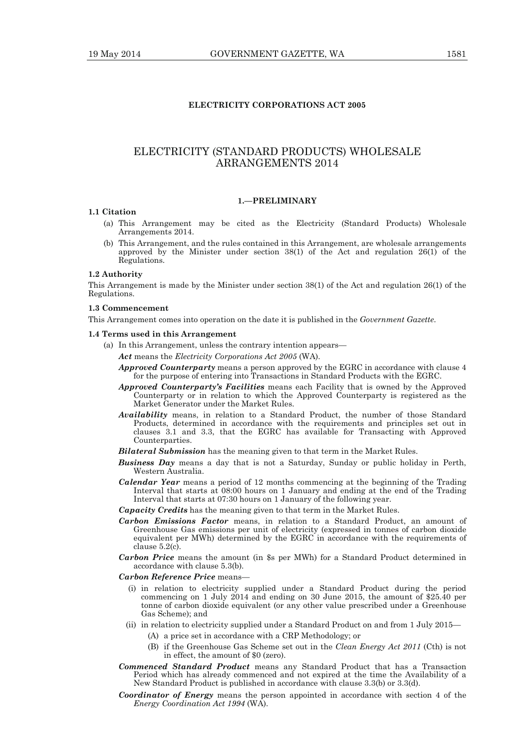# **ELECTRICITY CORPORATIONS ACT 2005**

# ELECTRICITY (STANDARD PRODUCTS) WHOLESALE ARRANGEMENTS 2014

# **1.—PRELIMINARY**

#### **1.1 Citation**

- (a) This Arrangement may be cited as the Electricity (Standard Products) Wholesale Arrangements 2014.
- (b) This Arrangement, and the rules contained in this Arrangement, are wholesale arrangements approved by the Minister under section 38(1) of the Act and regulation 26(1) of the Regulations.

#### **1.2 Authority**

This Arrangement is made by the Minister under section 38(1) of the Act and regulation 26(1) of the Regulations.

#### **1.3 Commencement**

This Arrangement comes into operation on the date it is published in the *Government Gazette*.

#### **1.4 Terms used in this Arrangement**

- (a) In this Arrangement, unless the contrary intention appears—
	- *Act* means the *Electricity Corporations Act 2005* (WA).
	- *Approved Counterparty* means a person approved by the EGRC in accordance with clause 4 for the purpose of entering into Transactions in Standard Products with the EGRC.
	- *Approved Counterparty's Facilities* means each Facility that is owned by the Approved Counterparty or in relation to which the Approved Counterparty is registered as the Market Generator under the Market Rules.
	- *Availability* means, in relation to a Standard Product, the number of those Standard Products, determined in accordance with the requirements and principles set out in clauses 3.1 and 3.3, that the EGRC has available for Transacting with Approved Counterparties.
	- *Bilateral Submission* has the meaning given to that term in the Market Rules.
	- *Business Day* means a day that is not a Saturday, Sunday or public holiday in Perth, Western Australia.
	- *Calendar Year* means a period of 12 months commencing at the beginning of the Trading Interval that starts at 08:00 hours on 1 January and ending at the end of the Trading Interval that starts at 07:30 hours on 1 January of the following year.
	- *Capacity Credits* has the meaning given to that term in the Market Rules.
	- *Carbon Emissions Factor* means, in relation to a Standard Product, an amount of Greenhouse Gas emissions per unit of electricity (expressed in tonnes of carbon dioxide equivalent per MWh) determined by the EGRC in accordance with the requirements of clause 5.2(c).
	- *Carbon Price* means the amount (in \$s per MWh) for a Standard Product determined in accordance with clause 5.3(b).
	- *Carbon Reference Price* means—
		- (i) in relation to electricity supplied under a Standard Product during the period commencing on 1 July 2014 and ending on 30 June 2015, the amount of \$25.40 per tonne of carbon dioxide equivalent (or any other value prescribed under a Greenhouse Gas Scheme); and
		- (ii) in relation to electricity supplied under a Standard Product on and from 1 July 2015—
			- (A) a price set in accordance with a CRP Methodology; or
			- (B) if the Greenhouse Gas Scheme set out in the *Clean Energy Act 2011* (Cth) is not in effect, the amount of \$0 (zero).
	- *Commenced Standard Product* means any Standard Product that has a Transaction Period which has already commenced and not expired at the time the Availability of a New Standard Product is published in accordance with clause 3.3(b) or 3.3(d).
	- *Coordinator of Energy* means the person appointed in accordance with section 4 of the *Energy Coordination Act 1994* (WA).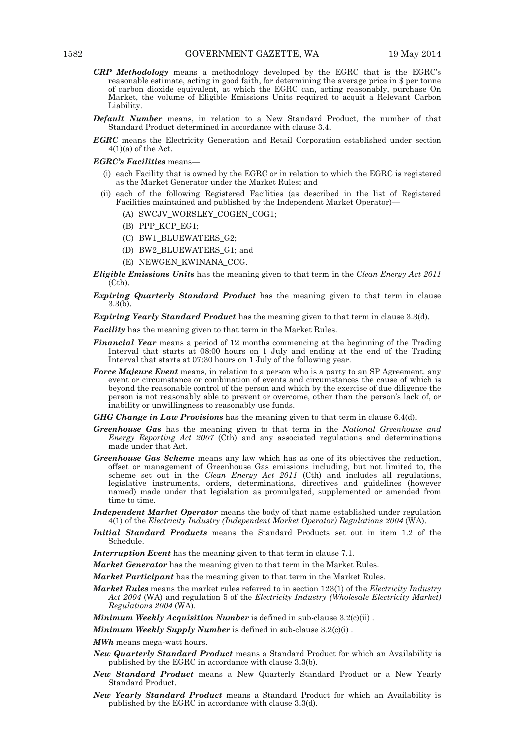- *CRP Methodology* means a methodology developed by the EGRC that is the EGRC's reasonable estimate, acting in good faith, for determining the average price in \$ per tonne of carbon dioxide equivalent, at which the EGRC can, acting reasonably, purchase On Market, the volume of Eligible Emissions Units required to acquit a Relevant Carbon Liability.
- *Default Number* means, in relation to a New Standard Product, the number of that Standard Product determined in accordance with clause 3.4.
- *EGRC* means the Electricity Generation and Retail Corporation established under section  $4(1)(a)$  of the Act.

#### *EGRC's Facilities* means—

- (i) each Facility that is owned by the EGRC or in relation to which the EGRC is registered as the Market Generator under the Market Rules; and
- (ii) each of the following Registered Facilities (as described in the list of Registered Facilities maintained and published by the Independent Market Operator)—
	- (A) SWCJV WORSLEY COGEN COG1;
	- (B) PPP\_KCP\_EG1;
	- (C) BW1\_BLUEWATERS\_G2;
	- (D) BW2\_BLUEWATERS\_G1; and
	- (E) NEWGEN\_KWINANA\_CCG.
- *Eligible Emissions Units* has the meaning given to that term in the *Clean Energy Act 2011*  $(Cth)$ .
- *Expiring Quarterly Standard Product* has the meaning given to that term in clause 3.3(b).

*Expiring Yearly Standard Product* has the meaning given to that term in clause 3.3(d).

*Facility* has the meaning given to that term in the Market Rules.

- *Financial Year* means a period of 12 months commencing at the beginning of the Trading Interval that starts at 08:00 hours on 1 July and ending at the end of the Trading Interval that starts at 07:30 hours on 1 July of the following year.
- *Force Majeure Event* means, in relation to a person who is a party to an SP Agreement, any event or circumstance or combination of events and circumstances the cause of which is beyond the reasonable control of the person and which by the exercise of due diligence the person is not reasonably able to prevent or overcome, other than the person's lack of, or inability or unwillingness to reasonably use funds.
- *GHG Change in Law Provisions* has the meaning given to that term in clause 6.4(d).
- *Greenhouse Gas* has the meaning given to that term in the *National Greenhouse and Energy Reporting Act 2007* (Cth) and any associated regulations and determinations made under that Act.
- *Greenhouse Gas Scheme* means any law which has as one of its objectives the reduction, offset or management of Greenhouse Gas emissions including, but not limited to, the scheme set out in the *Clean Energy Act 2011* (Cth) and includes all regulations, legislative instruments, orders, determinations, directives and guidelines (however named) made under that legislation as promulgated, supplemented or amended from time to time.
- *Independent Market Operator* means the body of that name established under regulation 4(1) of the *Electricity Industry (Independent Market Operator) Regulations 2004* (WA).
- *Initial Standard Products* means the Standard Products set out in item 1.2 of the Schedule.
- *Interruption Event* has the meaning given to that term in clause 7.1.
- *Market Generator* has the meaning given to that term in the Market Rules.
- *Market Participant* has the meaning given to that term in the Market Rules.
- *Market Rules* means the market rules referred to in section 123(1) of the *Electricity Industry Act 2004* (WA) and regulation 5 of the *Electricity Industry (Wholesale Electricity Market) Regulations 2004* (WA).
- *Minimum Weekly Acquisition Number* is defined in sub-clause 3.2(c)(ii).

*Minimum Weekly Supply Number* is defined in sub-clause 3.2(c)(i) .

- *MWh* means mega-watt hours.
- *New Quarterly Standard Product* means a Standard Product for which an Availability is published by the EGRC in accordance with clause 3.3(b).
- *New Standard Product* means a New Quarterly Standard Product or a New Yearly Standard Product.
- *New Yearly Standard Product* means a Standard Product for which an Availability is published by the EGRC in accordance with clause 3.3(d).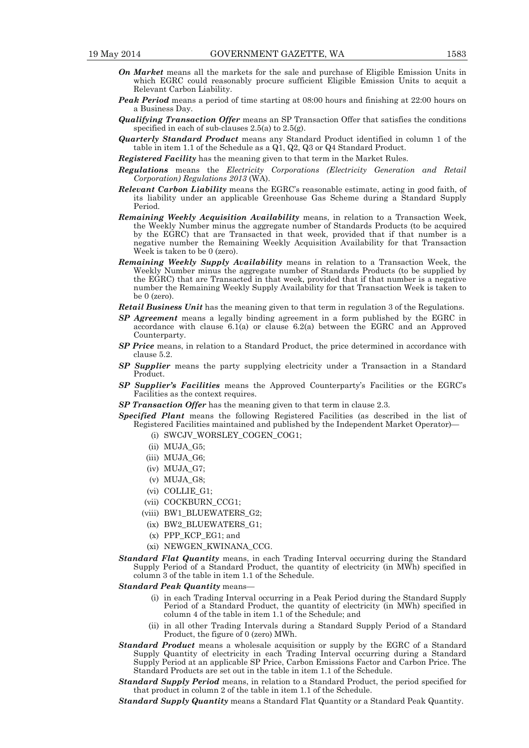- *On Market* means all the markets for the sale and purchase of Eligible Emission Units in which EGRC could reasonably procure sufficient Eligible Emission Units to acquit a Relevant Carbon Liability.
- *Peak Period* means a period of time starting at 08:00 hours and finishing at 22:00 hours on a Business Day.
- *Qualifying Transaction Offer* means an SP Transaction Offer that satisfies the conditions specified in each of sub-clauses 2.5(a) to 2.5(g).
- *Quarterly Standard Product* means any Standard Product identified in column 1 of the table in item 1.1 of the Schedule as a Q1, Q2, Q3 or Q4 Standard Product.
- *Registered Facility* has the meaning given to that term in the Market Rules.
- *Regulations* means the *Electricity Corporations (Electricity Generation and Retail Corporation) Regulations 2013* (WA).
- *Relevant Carbon Liability* means the EGRC's reasonable estimate, acting in good faith, of its liability under an applicable Greenhouse Gas Scheme during a Standard Supply Period.
- *Remaining Weekly Acquisition Availability* means, in relation to a Transaction Week, the Weekly Number minus the aggregate number of Standards Products (to be acquired by the EGRC) that are Transacted in that week, provided that if that number is a negative number the Remaining Weekly Acquisition Availability for that Transaction Week is taken to be 0 (zero).
- *Remaining Weekly Supply Availability* means in relation to a Transaction Week, the Weekly Number minus the aggregate number of Standards Products (to be supplied by the EGRC) that are Transacted in that week, provided that if that number is a negative number the Remaining Weekly Supply Availability for that Transaction Week is taken to be 0 (zero).
- *Retail Business Unit* has the meaning given to that term in regulation 3 of the Regulations.
- *SP Agreement* means a legally binding agreement in a form published by the EGRC in accordance with clause 6.1(a) or clause 6.2(a) between the EGRC and an Approved Counterparty.
- *SP Price* means, in relation to a Standard Product, the price determined in accordance with clause 5.2.
- *SP Supplier* means the party supplying electricity under a Transaction in a Standard Product.
- *SP Supplier's Facilities* means the Approved Counterparty's Facilities or the EGRC's Facilities as the context requires.
- *SP Transaction Offer* has the meaning given to that term in clause 2.3.

*Specified Plant* means the following Registered Facilities (as described in the list of Registered Facilities maintained and published by the Independent Market Operator)—

- (i) SWCJV\_WORSLEY\_COGEN\_COG1;
- (ii) MUJA\_G5;
- (iii) MUJA\_G6;
- (iv) MUJA\_G7;
- (v) MUJA\_G8;
- (vi) COLLIE\_G1;
- (vii) COCKBURN\_CCG1;
- (viii) BW1\_BLUEWATERS\_G2;
- (ix) BW2\_BLUEWATERS\_G1;
- (x) PPP\_KCP\_EG1; and
- (xi) NEWGEN\_KWINANA\_CCG.
- *Standard Flat Quantity* means, in each Trading Interval occurring during the Standard Supply Period of a Standard Product, the quantity of electricity (in MWh) specified in column 3 of the table in item 1.1 of the Schedule.
- *Standard Peak Quantity* means—
	- (i) in each Trading Interval occurring in a Peak Period during the Standard Supply Period of a Standard Product, the quantity of electricity (in MWh) specified in column 4 of the table in item 1.1 of the Schedule; and
	- (ii) in all other Trading Intervals during a Standard Supply Period of a Standard Product, the figure of 0 (zero) MWh.
- *Standard Product* means a wholesale acquisition or supply by the EGRC of a Standard Supply Quantity of electricity in each Trading Interval occurring during a Standard Supply Period at an applicable SP Price, Carbon Emissions Factor and Carbon Price. The Standard Products are set out in the table in item 1.1 of the Schedule.
- *Standard Supply Period* means, in relation to a Standard Product, the period specified for that product in column 2 of the table in item 1.1 of the Schedule.

*Standard Supply Quantity* means a Standard Flat Quantity or a Standard Peak Quantity.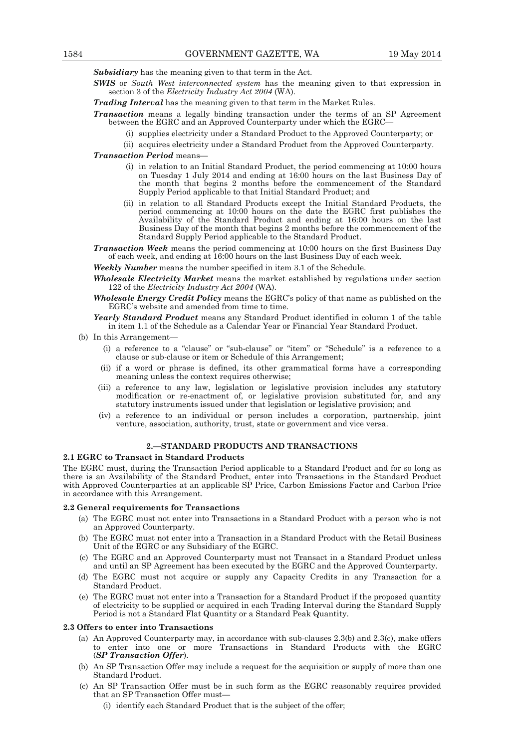*Subsidiary* has the meaning given to that term in the Act.

*SWIS* or *South West interconnected system* has the meaning given to that expression in section 3 of the *Electricity Industry Act 2004* (WA).

*Trading Interval* has the meaning given to that term in the Market Rules.

- *Transaction* means a legally binding transaction under the terms of an SP Agreement between the EGRC and an Approved Counterparty under which the EGRC—
	- (i) supplies electricity under a Standard Product to the Approved Counterparty; or
	- (ii) acquires electricity under a Standard Product from the Approved Counterparty.

# *Transaction Period* means—

- (i) in relation to an Initial Standard Product, the period commencing at 10:00 hours on Tuesday 1 July 2014 and ending at 16:00 hours on the last Business Day of the month that begins 2 months before the commencement of the Standard Supply Period applicable to that Initial Standard Product; and
- (ii) in relation to all Standard Products except the Initial Standard Products, the period commencing at 10:00 hours on the date the EGRC first publishes the Availability of the Standard Product and ending at 16:00 hours on the last Business Day of the month that begins 2 months before the commencement of the Standard Supply Period applicable to the Standard Product.
- *Transaction Week* means the period commencing at 10:00 hours on the first Business Day of each week, and ending at 16:00 hours on the last Business Day of each week.

*Weekly Number* means the number specified in item 3.1 of the Schedule.

*Wholesale Electricity Market* means the market established by regulations under section 122 of the *Electricity Industry Act 2004* (WA).

- *Wholesale Energy Credit Policy* means the EGRC's policy of that name as published on the EGRC's website and amended from time to time.
- *Yearly Standard Product* means any Standard Product identified in column 1 of the table in item 1.1 of the Schedule as a Calendar Year or Financial Year Standard Product.
- (b) In this Arrangement-
	- (i) a reference to a "clause" or "sub-clause" or "item" or "Schedule" is a reference to a clause or sub-clause or item or Schedule of this Arrangement;
	- (ii) if a word or phrase is defined, its other grammatical forms have a corresponding meaning unless the context requires otherwise;
	- (iii) a reference to any law, legislation or legislative provision includes any statutory modification or re-enactment of, or legislative provision substituted for, and any statutory instruments issued under that legislation or legislative provision; and
	- (iv) a reference to an individual or person includes a corporation, partnership, joint venture, association, authority, trust, state or government and vice versa.

#### **2.—STANDARD PRODUCTS AND TRANSACTIONS**

#### **2.1 EGRC to Transact in Standard Products**

The EGRC must, during the Transaction Period applicable to a Standard Product and for so long as there is an Availability of the Standard Product, enter into Transactions in the Standard Product with Approved Counterparties at an applicable SP Price, Carbon Emissions Factor and Carbon Price in accordance with this Arrangement.

#### **2.2 General requirements for Transactions**

- (a) The EGRC must not enter into Transactions in a Standard Product with a person who is not an Approved Counterparty.
- (b) The EGRC must not enter into a Transaction in a Standard Product with the Retail Business Unit of the EGRC or any Subsidiary of the EGRC.
- (c) The EGRC and an Approved Counterparty must not Transact in a Standard Product unless and until an SP Agreement has been executed by the EGRC and the Approved Counterparty.
- (d) The EGRC must not acquire or supply any Capacity Credits in any Transaction for a Standard Product.
- (e) The EGRC must not enter into a Transaction for a Standard Product if the proposed quantity of electricity to be supplied or acquired in each Trading Interval during the Standard Supply Period is not a Standard Flat Quantity or a Standard Peak Quantity.

#### **2.3 Offers to enter into Transactions**

- (a) An Approved Counterparty may, in accordance with sub-clauses 2.3(b) and 2.3(c), make offers to enter into one or more Transactions in Standard Products with the EGRC (*SP Transaction Offer*).
	- (b) An SP Transaction Offer may include a request for the acquisition or supply of more than one Standard Product.
	- (c) An SP Transaction Offer must be in such form as the EGRC reasonably requires provided that an SP Transaction Offer must—
		- (i) identify each Standard Product that is the subject of the offer;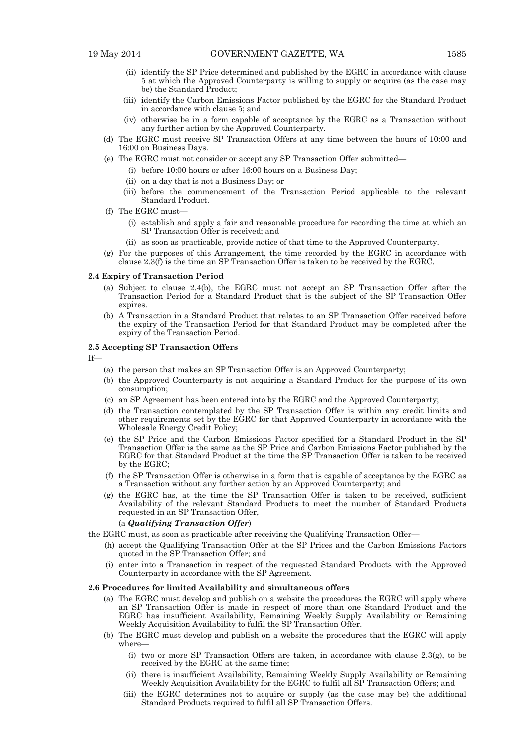- (ii) identify the SP Price determined and published by the EGRC in accordance with clause 5 at which the Approved Counterparty is willing to supply or acquire (as the case may be) the Standard Product;
- (iii) identify the Carbon Emissions Factor published by the EGRC for the Standard Product in accordance with clause 5; and
- (iv) otherwise be in a form capable of acceptance by the EGRC as a Transaction without any further action by the Approved Counterparty.
- (d) The EGRC must receive SP Transaction Offers at any time between the hours of 10:00 and 16:00 on Business Days.
- (e) The EGRC must not consider or accept any SP Transaction Offer submitted—
	- (i) before 10:00 hours or after 16:00 hours on a Business Day;
	- (ii) on a day that is not a Business Day; or
	- (iii) before the commencement of the Transaction Period applicable to the relevant Standard Product.
- $(f)$  The EGRC must-
	- (i) establish and apply a fair and reasonable procedure for recording the time at which an SP Transaction Offer is received; and
	- (ii) as soon as practicable, provide notice of that time to the Approved Counterparty.
- (g) For the purposes of this Arrangement, the time recorded by the EGRC in accordance with clause 2.3(f) is the time an SP Transaction Offer is taken to be received by the EGRC.

#### **2.4 Expiry of Transaction Period**

- (a) Subject to clause 2.4(b), the EGRC must not accept an SP Transaction Offer after the Transaction Period for a Standard Product that is the subject of the SP Transaction Offer expires.
- (b) A Transaction in a Standard Product that relates to an SP Transaction Offer received before the expiry of the Transaction Period for that Standard Product may be completed after the expiry of the Transaction Period.

#### **2.5 Accepting SP Transaction Offers**

 $If$ 

- (a) the person that makes an SP Transaction Offer is an Approved Counterparty;
- (b) the Approved Counterparty is not acquiring a Standard Product for the purpose of its own consumption;
- (c) an SP Agreement has been entered into by the EGRC and the Approved Counterparty;
- (d) the Transaction contemplated by the SP Transaction Offer is within any credit limits and other requirements set by the EGRC for that Approved Counterparty in accordance with the Wholesale Energy Credit Policy;
- (e) the SP Price and the Carbon Emissions Factor specified for a Standard Product in the SP Transaction Offer is the same as the SP Price and Carbon Emissions Factor published by the EGRC for that Standard Product at the time the SP Transaction Offer is taken to be received by the EGRC;
- (f) the SP Transaction Offer is otherwise in a form that is capable of acceptance by the EGRC as a Transaction without any further action by an Approved Counterparty; and
- (g) the EGRC has, at the time the SP Transaction Offer is taken to be received, sufficient Availability of the relevant Standard Products to meet the number of Standard Products requested in an SP Transaction Offer,

#### (a *Qualifying Transaction Offer*)

- the EGRC must, as soon as practicable after receiving the Qualifying Transaction Offer—
	- (h) accept the Qualifying Transaction Offer at the SP Prices and the Carbon Emissions Factors quoted in the SP Transaction Offer; and
	- (i) enter into a Transaction in respect of the requested Standard Products with the Approved Counterparty in accordance with the SP Agreement.

#### **2.6 Procedures for limited Availability and simultaneous offers**

- (a) The EGRC must develop and publish on a website the procedures the EGRC will apply where an SP Transaction Offer is made in respect of more than one Standard Product and the EGRC has insufficient Availability, Remaining Weekly Supply Availability or Remaining Weekly Acquisition Availability to fulfil the SP Transaction Offer.
- (b) The EGRC must develop and publish on a website the procedures that the EGRC will apply where—
	- (i) two or more SP Transaction Offers are taken, in accordance with clause  $2.3(g)$ , to be received by the EGRC at the same time;
- (ii) there is insufficient Availability, Remaining Weekly Supply Availability or Remaining Weekly Acquisition Availability for the EGRC to fulfil all SP Transaction Offers; and
	- (iii) the EGRC determines not to acquire or supply (as the case may be) the additional Standard Products required to fulfil all SP Transaction Offers.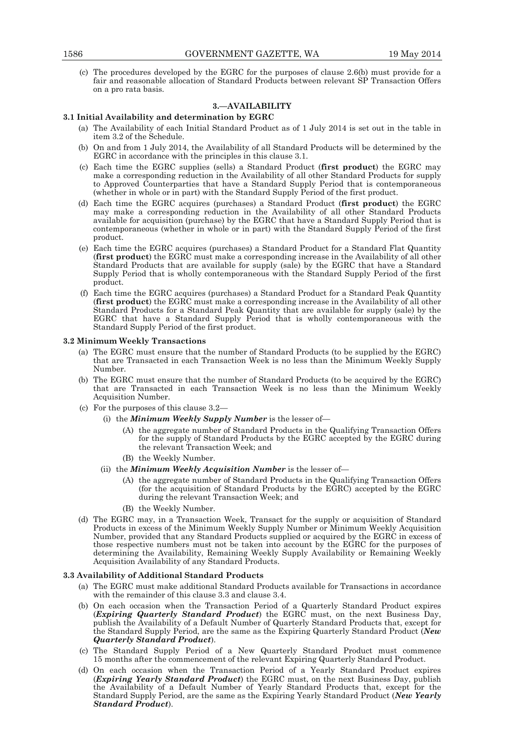(c) The procedures developed by the EGRC for the purposes of clause 2.6(b) must provide for a fair and reasonable allocation of Standard Products between relevant SP Transaction Offers on a pro rata basis.

# **3.—AVAILABILITY**

#### **3.1 Initial Availability and determination by EGRC**

- (a) The Availability of each Initial Standard Product as of 1 July 2014 is set out in the table in item 3.2 of the Schedule.
- (b) On and from 1 July 2014, the Availability of all Standard Products will be determined by the EGRC in accordance with the principles in this clause 3.1.
- (c) Each time the EGRC supplies (sells) a Standard Product (**first product**) the EGRC may make a corresponding reduction in the Availability of all other Standard Products for supply to Approved Counterparties that have a Standard Supply Period that is contemporaneous (whether in whole or in part) with the Standard Supply Period of the first product.
- (d) Each time the EGRC acquires (purchases) a Standard Product (**first product**) the EGRC may make a corresponding reduction in the Availability of all other Standard Products available for acquisition (purchase) by the EGRC that have a Standard Supply Period that is contemporaneous (whether in whole or in part) with the Standard Supply Period of the first product.
- (e) Each time the EGRC acquires (purchases) a Standard Product for a Standard Flat Quantity (**first product**) the EGRC must make a corresponding increase in the Availability of all other Standard Products that are available for supply (sale) by the EGRC that have a Standard Supply Period that is wholly contemporaneous with the Standard Supply Period of the first product.
- (f) Each time the EGRC acquires (purchases) a Standard Product for a Standard Peak Quantity (**first product**) the EGRC must make a corresponding increase in the Availability of all other Standard Products for a Standard Peak Quantity that are available for supply (sale) by the EGRC that have a Standard Supply Period that is wholly contemporaneous with the Standard Supply Period of the first product.

#### **3.2 Minimum Weekly Transactions**

- (a) The EGRC must ensure that the number of Standard Products (to be supplied by the EGRC) that are Transacted in each Transaction Week is no less than the Minimum Weekly Supply Number.
- (b) The EGRC must ensure that the number of Standard Products (to be acquired by the EGRC) that are Transacted in each Transaction Week is no less than the Minimum Weekly Acquisition Number.
- (c) For the purposes of this clause 3.2—
	- (i) the *Minimum Weekly Supply Number* is the lesser of—
		- (A) the aggregate number of Standard Products in the Qualifying Transaction Offers for the supply of Standard Products by the EGRC accepted by the EGRC during the relevant Transaction Week; and
		- (B) the Weekly Number.
	- (ii) the *Minimum Weekly Acquisition Number* is the lesser of—
		- (A) the aggregate number of Standard Products in the Qualifying Transaction Offers (for the acquisition of Standard Products by the EGRC) accepted by the EGRC during the relevant Transaction Week; and
		- (B) the Weekly Number.
- (d) The EGRC may, in a Transaction Week, Transact for the supply or acquisition of Standard Products in excess of the Minimum Weekly Supply Number or Minimum Weekly Acquisition Number, provided that any Standard Products supplied or acquired by the EGRC in excess of those respective numbers must not be taken into account by the EGRC for the purposes of determining the Availability, Remaining Weekly Supply Availability or Remaining Weekly Acquisition Availability of any Standard Products.

#### **3.3 Availability of Additional Standard Products**

- (a) The EGRC must make additional Standard Products available for Transactions in accordance with the remainder of this clause 3.3 and clause 3.4.
- (b) On each occasion when the Transaction Period of a Quarterly Standard Product expires (*Expiring Quarterly Standard Product*) the EGRC must, on the next Business Day, publish the Availability of a Default Number of Quarterly Standard Products that, except for the Standard Supply Period, are the same as the Expiring Quarterly Standard Product (*New Quarterly Standard Product*).
- (c) The Standard Supply Period of a New Quarterly Standard Product must commence 15 months after the commencement of the relevant Expiring Quarterly Standard Product.
- (d) On each occasion when the Transaction Period of a Yearly Standard Product expires (*Expiring Yearly Standard Product*) the EGRC must, on the next Business Day, publish the Availability of a Default Number of Yearly Standard Products that, except for the Standard Supply Period, are the same as the Expiring Yearly Standard Product (*New Yearly Standard Product*).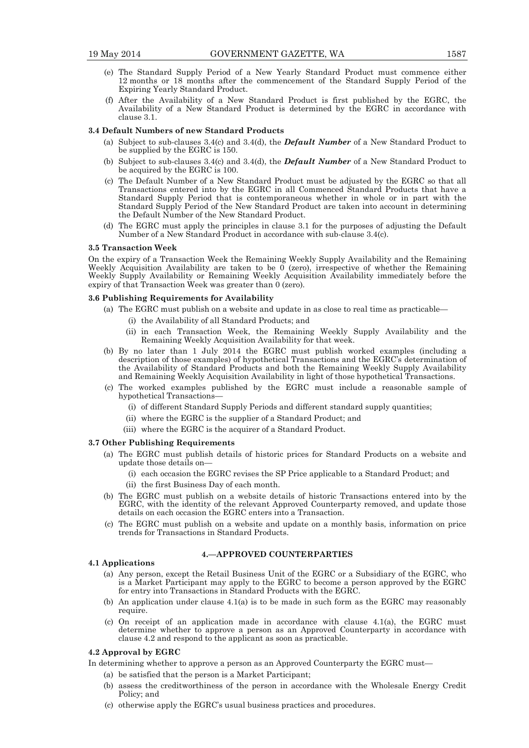- (e) The Standard Supply Period of a New Yearly Standard Product must commence either 12 months or 18 months after the commencement of the Standard Supply Period of the Expiring Yearly Standard Product.
- (f) After the Availability of a New Standard Product is first published by the EGRC, the Availability of a New Standard Product is determined by the EGRC in accordance with clause 3.1.

#### **3.4 Default Numbers of new Standard Products**

- (a) Subject to sub-clauses 3.4(c) and 3.4(d), the *Default Number* of a New Standard Product to be supplied by the EGRC is 150.
- (b) Subject to sub-clauses 3.4(c) and 3.4(d), the *Default Number* of a New Standard Product to be acquired by the EGRC is 100.
- (c) The Default Number of a New Standard Product must be adjusted by the EGRC so that all Transactions entered into by the EGRC in all Commenced Standard Products that have a Standard Supply Period that is contemporaneous whether in whole or in part with the Standard Supply Period of the New Standard Product are taken into account in determining the Default Number of the New Standard Product.
- (d) The EGRC must apply the principles in clause 3.1 for the purposes of adjusting the Default Number of a New Standard Product in accordance with sub-clause 3.4(c).

#### **3.5 Transaction Week**

On the expiry of a Transaction Week the Remaining Weekly Supply Availability and the Remaining Weekly Acquisition Availability are taken to be  $0$  (zero), irrespective of whether the Remaining Weekly Supply Availability or Remaining Weekly Acquisition Availability immediately before the expiry of that Transaction Week was greater than 0 (zero).

#### **3.6 Publishing Requirements for Availability**

- (a) The EGRC must publish on a website and update in as close to real time as practicable—
	- (i) the Availability of all Standard Products; and
	- (ii) in each Transaction Week, the Remaining Weekly Supply Availability and the Remaining Weekly Acquisition Availability for that week.
- (b) By no later than 1 July 2014 the EGRC must publish worked examples (including a description of those examples) of hypothetical Transactions and the EGRC's determination of the Availability of Standard Products and both the Remaining Weekly Supply Availability and Remaining Weekly Acquisition Availability in light of those hypothetical Transactions.
- (c) The worked examples published by the EGRC must include a reasonable sample of hypothetical Transactions—
	- (i) of different Standard Supply Periods and different standard supply quantities;
	- (ii) where the EGRC is the supplier of a Standard Product; and
	- (iii) where the EGRC is the acquirer of a Standard Product.

#### **3.7 Other Publishing Requirements**

- (a) The EGRC must publish details of historic prices for Standard Products on a website and update those details on—
	- (i) each occasion the EGRC revises the SP Price applicable to a Standard Product; and
	- (ii) the first Business Day of each month.
- (b) The EGRC must publish on a website details of historic Transactions entered into by the EGRC, with the identity of the relevant Approved Counterparty removed, and update those details on each occasion the EGRC enters into a Transaction.
- (c) The EGRC must publish on a website and update on a monthly basis, information on price trends for Transactions in Standard Products.

#### **4.—APPROVED COUNTERPARTIES**

#### **4.1 Applications**

- (a) Any person, except the Retail Business Unit of the EGRC or a Subsidiary of the EGRC, who is a Market Participant may apply to the EGRC to become a person approved by the EGRC for entry into Transactions in Standard Products with the EGRC.
- (b) An application under clause  $4.1(a)$  is to be made in such form as the EGRC may reasonably require.
- (c) On receipt of an application made in accordance with clause 4.1(a), the EGRC must determine whether to approve a person as an Approved Counterparty in accordance with clause 4.2 and respond to the applicant as soon as practicable.

# **4.2 Approval by EGRC**

In determining whether to approve a person as an Approved Counterparty the EGRC must—

- (a) be satisfied that the person is a Market Participant;
- (b) assess the creditworthiness of the person in accordance with the Wholesale Energy Credit Policy; and
- (c) otherwise apply the EGRC's usual business practices and procedures.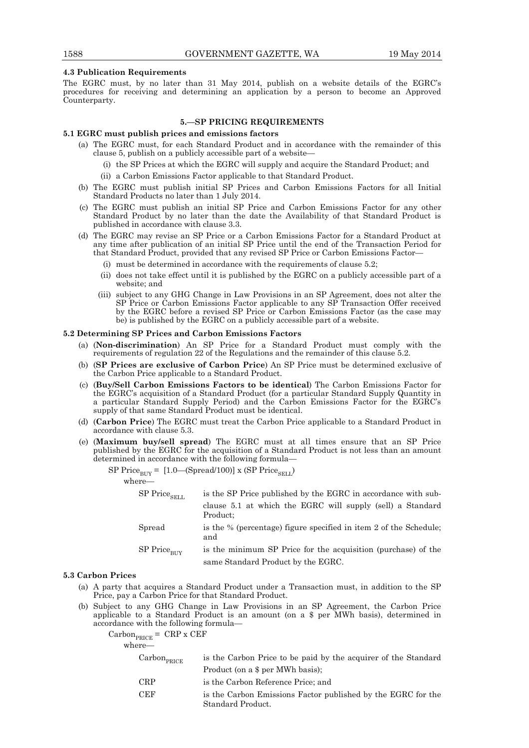#### **4.3 Publication Requirements**

The EGRC must, by no later than 31 May 2014, publish on a website details of the EGRC's procedures for receiving and determining an application by a person to become an Approved Counterparty.

#### **5.—SP PRICING REQUIREMENTS**

#### **5.1 EGRC must publish prices and emissions factors**

- (a) The EGRC must, for each Standard Product and in accordance with the remainder of this clause 5, publish on a publicly accessible part of a website—
	- (i) the SP Prices at which the EGRC will supply and acquire the Standard Product; and
	- (ii) a Carbon Emissions Factor applicable to that Standard Product.
- (b) The EGRC must publish initial SP Prices and Carbon Emissions Factors for all Initial Standard Products no later than 1 July 2014.
- (c) The EGRC must publish an initial SP Price and Carbon Emissions Factor for any other Standard Product by no later than the date the Availability of that Standard Product is published in accordance with clause 3.3.
- (d) The EGRC may revise an SP Price or a Carbon Emissions Factor for a Standard Product at any time after publication of an initial SP Price until the end of the Transaction Period for that Standard Product, provided that any revised SP Price or Carbon Emissions Factor—
	- (i) must be determined in accordance with the requirements of clause 5.2;
	- (ii) does not take effect until it is published by the EGRC on a publicly accessible part of a website; and
- (iii) subject to any GHG Change in Law Provisions in an SP Agreement, does not alter the SP Price or Carbon Emissions Factor applicable to any SP Transaction Offer received by the EGRC before a revised SP Price or Carbon Emissions Factor (as the case may be) is published by the EGRC on a publicly accessible part of a website.

# **5.2 Determining SP Prices and Carbon Emissions Factors**

- (a) (**Non-discrimination**) An SP Price for a Standard Product must comply with the requirements of regulation 22 of the Regulations and the remainder of this clause 5.2.
- (b) (**SP Prices are exclusive of Carbon Price**) An SP Price must be determined exclusive of the Carbon Price applicable to a Standard Product.
- (c) (**Buy/Sell Carbon Emissions Factors to be identical**) The Carbon Emissions Factor for the EGRC's acquisition of a Standard Product (for a particular Standard Supply Quantity in a particular Standard Supply Period) and the Carbon Emissions Factor for the EGRC's supply of that same Standard Product must be identical.
- (d) (**Carbon Price**) The EGRC must treat the Carbon Price applicable to a Standard Product in accordance with clause 5.3.
- (e) (**Maximum buy/sell spread**) The EGRC must at all times ensure that an SP Price published by the EGRC for the acquisition of a Standard Product is not less than an amount determined in accordance with the following formula—

SP Price $_{\text{RHY}}$  = [1.0—(Spread/100)] x (SP Price<sub>SELL</sub>)

where—

| ${\rm SP~Price}_{\rm SELL}$ | is the SP Price published by the EGRC in accordance with sub-            |
|-----------------------------|--------------------------------------------------------------------------|
|                             | clause 5.1 at which the EGRC will supply (sell) a Standard<br>Product:   |
| Spread                      | is the % (percentage) figure specified in item 2 of the Schedule:<br>and |

 $SP$  Price $_{\text{BUV}}$  is the minimum SP Price for the acquisition (purchase) of the

same Standard Product by the EGRC.

#### **5.3 Carbon Prices**

- (a) A party that acquires a Standard Product under a Transaction must, in addition to the SP Price, pay a Carbon Price for that Standard Product.
- (b) Subject to any GHG Change in Law Provisions in an SP Agreement, the Carbon Price applicable to a Standard Product is an amount (on a \$ per MWh basis), determined in accordance with the following formula—

 $Carbon_{PRICE} = \text{CRP} \times \text{CEF}$ where- $\text{Carbon}_{\text{DDICF}}$  is the Carbon Price to be paid by the acquirer of the Standard Product (on a \$ per MWh basis); CRP is the Carbon Reference Price; and CEF is the Carbon Emissions Factor published by the EGRC for the Standard Product.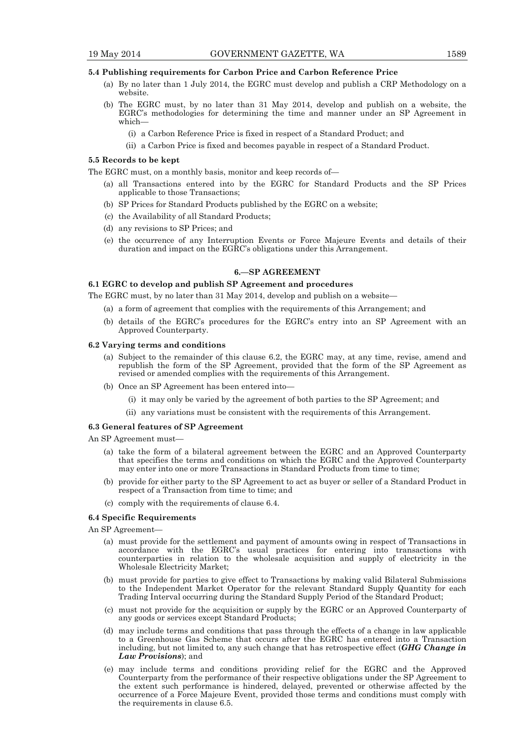#### **5.4 Publishing requirements for Carbon Price and Carbon Reference Price**

- (a) By no later than 1 July 2014, the EGRC must develop and publish a CRP Methodology on a website.
- (b) The EGRC must, by no later than 31 May 2014, develop and publish on a website, the EGRC's methodologies for determining the time and manner under an SP Agreement in which—
	- (i) a Carbon Reference Price is fixed in respect of a Standard Product; and
	- (ii) a Carbon Price is fixed and becomes payable in respect of a Standard Product.

#### **5.5 Records to be kept**

The EGRC must, on a monthly basis, monitor and keep records of—

- (a) all Transactions entered into by the EGRC for Standard Products and the SP Prices applicable to those Transactions;
- (b) SP Prices for Standard Products published by the EGRC on a website;
- (c) the Availability of all Standard Products;
- (d) any revisions to SP Prices; and
- (e) the occurrence of any Interruption Events or Force Majeure Events and details of their duration and impact on the EGRC's obligations under this Arrangement.

#### **6.—SP AGREEMENT**

#### **6.1 EGRC to develop and publish SP Agreement and procedures**

The EGRC must, by no later than 31 May 2014, develop and publish on a website—

- (a) a form of agreement that complies with the requirements of this Arrangement; and
- (b) details of the EGRC's procedures for the EGRC's entry into an SP Agreement with an Approved Counterparty.

#### **6.2 Varying terms and conditions**

- (a) Subject to the remainder of this clause 6.2, the EGRC may, at any time, revise, amend and republish the form of the SP Agreement, provided that the form of the SP Agreement as revised or amended complies with the requirements of this Arrangement.
- (b) Once an SP Agreement has been entered into—
	- (i) it may only be varied by the agreement of both parties to the SP Agreement; and
	- (ii) any variations must be consistent with the requirements of this Arrangement.

# **6.3 General features of SP Agreement**

An SP Agreement must—

- (a) take the form of a bilateral agreement between the EGRC and an Approved Counterparty that specifies the terms and conditions on which the EGRC and the Approved Counterparty may enter into one or more Transactions in Standard Products from time to time;
- (b) provide for either party to the SP Agreement to act as buyer or seller of a Standard Product in respect of a Transaction from time to time; and
- (c) comply with the requirements of clause 6.4.

#### **6.4 Specific Requirements**

An SP Agreement—

- (a) must provide for the settlement and payment of amounts owing in respect of Transactions in accordance with the EGRC's usual practices for entering into transactions with counterparties in relation to the wholesale acquisition and supply of electricity in the Wholesale Electricity Market;
- (b) must provide for parties to give effect to Transactions by making valid Bilateral Submissions to the Independent Market Operator for the relevant Standard Supply Quantity for each Trading Interval occurring during the Standard Supply Period of the Standard Product;
- (c) must not provide for the acquisition or supply by the EGRC or an Approved Counterparty of any goods or services except Standard Products;
- (d) may include terms and conditions that pass through the effects of a change in law applicable to a Greenhouse Gas Scheme that occurs after the EGRC has entered into a Transaction including, but not limited to, any such change that has retrospective effect (*GHG Change in Law Provisions*); and
- (e) may include terms and conditions providing relief for the EGRC and the Approved Counterparty from the performance of their respective obligations under the SP Agreement to the extent such performance is hindered, delayed, prevented or otherwise affected by the occurrence of a Force Majeure Event, provided those terms and conditions must comply with the requirements in clause 6.5.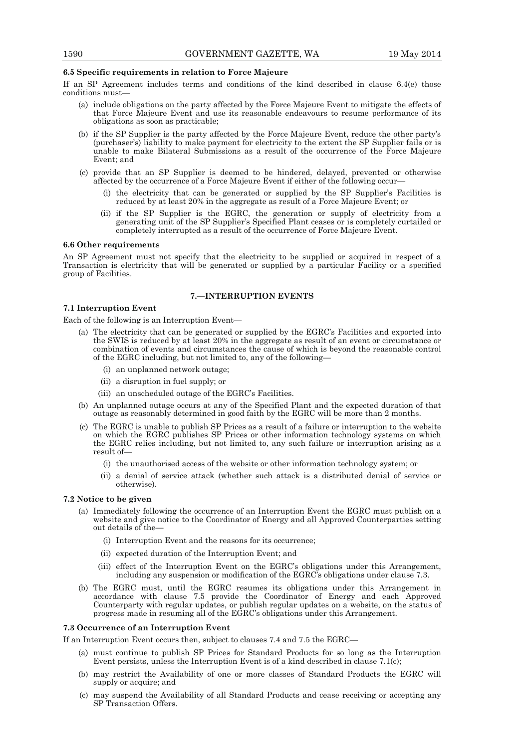#### **6.5 Specific requirements in relation to Force Majeure**

If an SP Agreement includes terms and conditions of the kind described in clause 6.4(e) those conditions must—

- (a) include obligations on the party affected by the Force Majeure Event to mitigate the effects of that Force Majeure Event and use its reasonable endeavours to resume performance of its obligations as soon as practicable;
- (b) if the SP Supplier is the party affected by the Force Majeure Event, reduce the other party's (purchaser's) liability to make payment for electricity to the extent the SP Supplier fails or is unable to make Bilateral Submissions as a result of the occurrence of the Force Majeure Event; and
- (c) provide that an SP Supplier is deemed to be hindered, delayed, prevented or otherwise affected by the occurrence of a Force Majeure Event if either of the following occur—
	- (i) the electricity that can be generated or supplied by the SP Supplier's Facilities is reduced by at least 20% in the aggregate as result of a Force Majeure Event; or
- (ii) if the SP Supplier is the EGRC, the generation or supply of electricity from a generating unit of the SP Supplier's Specified Plant ceases or is completely curtailed or completely interrupted as a result of the occurrence of Force Majeure Event.

#### **6.6 Other requirements**

An SP Agreement must not specify that the electricity to be supplied or acquired in respect of a Transaction is electricity that will be generated or supplied by a particular Facility or a specified group of Facilities.

#### **7.—INTERRUPTION EVENTS**

#### **7.1 Interruption Event**

Each of the following is an Interruption Event—

- (a) The electricity that can be generated or supplied by the EGRC's Facilities and exported into the SWIS is reduced by at least 20% in the aggregate as result of an event or circumstance or combination of events and circumstances the cause of which is beyond the reasonable control of the EGRC including, but not limited to, any of the following—
	- (i) an unplanned network outage;
	- (ii) a disruption in fuel supply; or
	- (iii) an unscheduled outage of the EGRC's Facilities.
- (b) An unplanned outage occurs at any of the Specified Plant and the expected duration of that outage as reasonably determined in good faith by the EGRC will be more than 2 months.
- (c) The EGRC is unable to publish SP Prices as a result of a failure or interruption to the website on which the EGRC publishes SP Prices or other information technology systems on which the EGRC relies including, but not limited to, any such failure or interruption arising as a result of—
	- (i) the unauthorised access of the website or other information technology system; or
	- (ii) a denial of service attack (whether such attack is a distributed denial of service or otherwise).

# **7.2 Notice to be given**

- (a) Immediately following the occurrence of an Interruption Event the EGRC must publish on a website and give notice to the Coordinator of Energy and all Approved Counterparties setting out details of the—
	- (i) Interruption Event and the reasons for its occurrence;
	- (ii) expected duration of the Interruption Event; and
	- (iii) effect of the Interruption Event on the EGRC's obligations under this Arrangement, including any suspension or modification of the EGRC's obligations under clause 7.3.
- (b) The EGRC must, until the EGRC resumes its obligations under this Arrangement in accordance with clause 7.5 provide the Coordinator of Energy and each Approved Counterparty with regular updates, or publish regular updates on a website, on the status of progress made in resuming all of the EGRC's obligations under this Arrangement.

#### **7.3 Occurrence of an Interruption Event**

If an Interruption Event occurs then, subject to clauses 7.4 and 7.5 the EGRC—

- (a) must continue to publish SP Prices for Standard Products for so long as the Interruption Event persists, unless the Interruption Event is of a kind described in clause 7.1(c);
- (b) may restrict the Availability of one or more classes of Standard Products the EGRC will supply or acquire; and
- (c) may suspend the Availability of all Standard Products and cease receiving or accepting any SP Transaction Offers.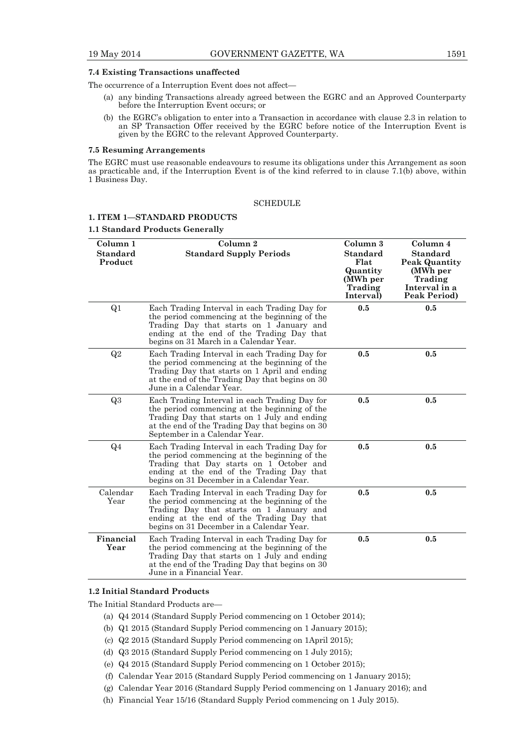#### **7.4 Existing Transactions unaffected**

The occurrence of a Interruption Event does not affect—

- (a) any binding Transactions already agreed between the EGRC and an Approved Counterparty before the Interruption Event occurs; or
- (b) the EGRC's obligation to enter into a Transaction in accordance with clause 2.3 in relation to an SP Transaction Offer received by the EGRC before notice of the Interruption Event is given by the EGRC to the relevant Approved Counterparty.

#### **7.5 Resuming Arrangements**

The EGRC must use reasonable endeavours to resume its obligations under this Arrangement as soon as practicable and, if the Interruption Event is of the kind referred to in clause 7.1(b) above, within 1 Business Day.

# **SCHEDULE**

#### **1. ITEM 1—STANDARD PRODUCTS**

#### **1.1 Standard Products Generally**

| Column 1<br><b>Standard</b><br>Product | Column 2<br><b>Standard Supply Periods</b>                                                                                                                                                                                           | Column 3<br><b>Standard</b><br>Flat<br>Quantity<br>(MWh per<br>Trading<br>Interval) | Column 4<br><b>Standard</b><br><b>Peak Quantity</b><br>(MWh per<br>Trading<br>Interval in a<br>Peak Period) |
|----------------------------------------|--------------------------------------------------------------------------------------------------------------------------------------------------------------------------------------------------------------------------------------|-------------------------------------------------------------------------------------|-------------------------------------------------------------------------------------------------------------|
| Q <sub>1</sub>                         | Each Trading Interval in each Trading Day for<br>the period commencing at the beginning of the<br>Trading Day that starts on 1 January and<br>ending at the end of the Trading Day that<br>begins on 31 March in a Calendar Year.    | 0.5                                                                                 | 0.5                                                                                                         |
| Q2                                     | Each Trading Interval in each Trading Day for<br>the period commencing at the beginning of the<br>Trading Day that starts on 1 April and ending<br>at the end of the Trading Day that begins on 30<br>June in a Calendar Year.       | 0.5                                                                                 | 0.5                                                                                                         |
| Q3                                     | Each Trading Interval in each Trading Day for<br>the period commencing at the beginning of the<br>Trading Day that starts on 1 July and ending<br>at the end of the Trading Day that begins on 30<br>September in a Calendar Year.   | 0.5                                                                                 | 0.5                                                                                                         |
| Q <sub>4</sub>                         | Each Trading Interval in each Trading Day for<br>the period commencing at the beginning of the<br>Trading that Day starts on 1 October and<br>ending at the end of the Trading Day that<br>begins on 31 December in a Calendar Year. | 0.5                                                                                 | 0.5                                                                                                         |
| Calendar<br>Year                       | Each Trading Interval in each Trading Day for<br>the period commencing at the beginning of the<br>Trading Day that starts on 1 January and<br>ending at the end of the Trading Day that<br>begins on 31 December in a Calendar Year. | 0.5                                                                                 | 0.5                                                                                                         |
| Financial<br>Year                      | Each Trading Interval in each Trading Day for<br>the period commencing at the beginning of the<br>Trading Day that starts on 1 July and ending<br>at the end of the Trading Day that begins on 30<br>June in a Financial Year.       | 0.5                                                                                 | 0.5                                                                                                         |

#### **1.2 Initial Standard Products**

The Initial Standard Products are—

- (a) Q4 2014 (Standard Supply Period commencing on 1 October 2014);
- (b) Q1 2015 (Standard Supply Period commencing on 1 January 2015);
- (c) Q2 2015 (Standard Supply Period commencing on 1April 2015);
- (d) Q3 2015 (Standard Supply Period commencing on 1 July 2015);
- (e) Q4 2015 (Standard Supply Period commencing on 1 October 2015);
- (f) Calendar Year 2015 (Standard Supply Period commencing on 1 January 2015);
- (g) Calendar Year 2016 (Standard Supply Period commencing on 1 January 2016); and
- (h) Financial Year 15/16 (Standard Supply Period commencing on 1 July 2015).